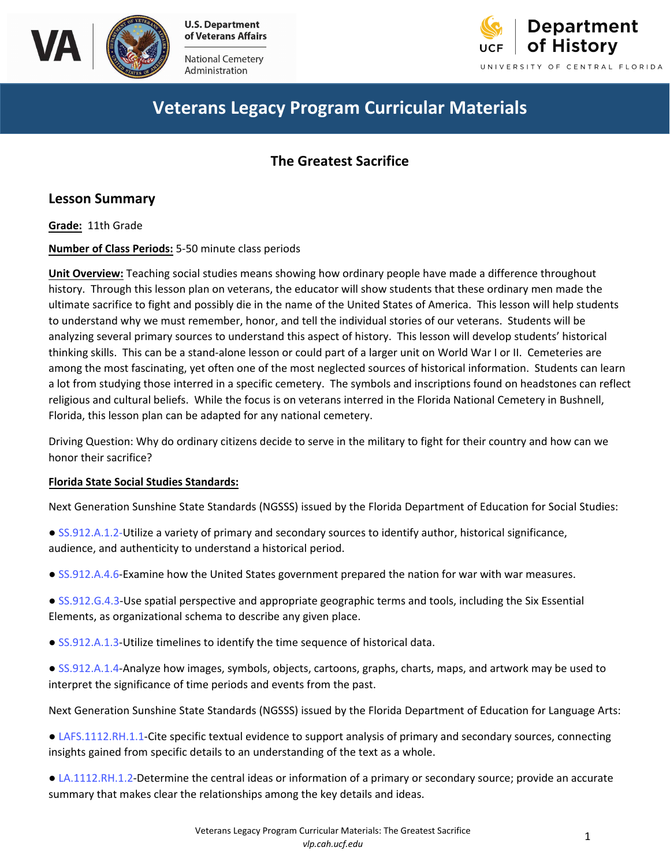

Ad ministration



# **Veterans Legacy Program Curricular Materials**

### **The Greatest Sacrifice**

### **Lesson Summary**

**Grade:** 11th Grade

**Number of Class Periods:** 5-50 minute class periods

**Unit Overview:** Teaching social studies means showing how ordinary people have made a difference throughout history. Through this lesson plan on veterans, the educator will show students that these ordinary men made the ultimate sacrifice to fight and possibly die in the name of the United States of America. This lesson will help students to understand why we must remember, honor, and tell the individual stories of our veterans. Students will be analy[zing several](http://www.cpalms.org/Public/PreviewStandard/Preview/8499) primary sources to understand this aspect of history. This lesson will develop students' historical thinking skills. This can be a stand-alone lesson or could part of a larger unit on World War I or II. Cemeteries are amon[g the most](http://www.cpalms.org/Public/PreviewStandard/Preview/3092) fascinating, yet often one of the most neglected sources of historical information. Students can learn a lot from studying those interred in a specific cemetery. The symbols and inscriptions found on headstones can reflect religious and cultural beliefs. While the focus is on veterans interred in the Florida National Cemetery in Bushnell, Florid[a, this lesso](http://www.cpalms.org/Public/PreviewStandard/Preview/3094)n plan can be adapted for any national cemetery.

Driving Question: Why do ordinary citizens decide to serve in the military to fight for their country and how can we hono[r their sacri](http://www.cpalms.org/Public/PreviewStandard/Preview/3205)fice?

#### **Florida State Social Studies Standards:**

Next Generation Sunshine State Standards (NGSSS) issued by the Florida Department of Education for Social Studies:

- [SS.912.A.1.2-](http://www.cpalms.org/Public/PreviewStandard/Preview/3333)Utilize a variety of primary and secondary sources to identify auth[or, historical si](http://www.cpalms.org/Public/PreviewStandard/Preview/5767)[gnificance,](http://www.cpalms.org/Public/PreviewStandard/Preview/5777)  audie[nce, and auth](http://www.cpalms.org/Public/PreviewStandard/Preview/5990)[enticity to und](http://www.cpalms.org/Public/PreviewStandard/Preview/6000)ers[tand a historica](http://www.cpalms.org/Public/PreviewStandard/Preview/6010)l period.
- [SS.912.A.4.6](http://www.cpalms.org/Public/PreviewStandard/Preview/3405)-Examine how the United States government prepared the nation for war with war measures.
- [SS.912.G.4.3-](http://www.cpalms.org/Public/PreviewStandard/Preview/3608)Use spatial perspective and appropriate geographic terms and tools, including the Six Essential Elements, as organizational schema to describe any given place.
- [SS.912.A.1.3](http://www.cpalms.org/Public/PreviewStandard/Preview/3334)-Utilize timelines to identify the time sequence of historical data.
- [SS.912.A.1.4-](http://www.cpalms.org/Public/PreviewStandard/Preview/3335)Analyze how images, symbols, objects, cartoons, graphs, charts, maps, and artwork may be used to interpret the significance of time periods and events from the past.

Next Generation Sunshine State Standards (NGSSS) issued by the Florida Department of Education for Language Arts:

- [LAFS.1112.RH.1.1-](http://www.cpalms.org/Public/PreviewStandard/Preview/6182)Cite specific textual evidence to support analysis of primary and secondary sources, connecting insights gained from specific details to an understanding of the text as a whole.
- [LA.1112.RH.1.2-D](http://www.cpalms.org/Public/PreviewStandard/Preview/6030)etermine the central ideas or information of a primary or secondary source; provide an accurate summary that makes clear the relationships among the key details and ideas.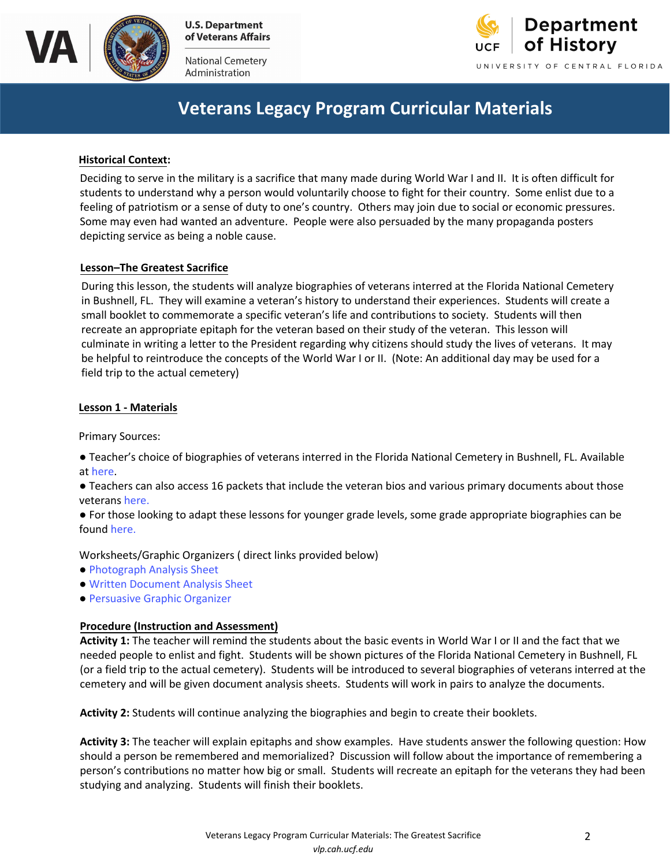

National Cemetery Administration



### **Veterans Legacy Program Curricular Materials**

#### **Historical Context:**

Deciding to serve in the military is a sacrifice that many made during World War I and II. It is often difficult for students to understand why a person would voluntarily choose to fight for their country. Some enlist due to a feeling of patriotism or a sense of duty to one's country. Others may join due to social or economic pressures. Some may even had wanted an adventure. People were also persuaded by the many propaganda posters depicting service as being a noble cause.

#### **Lesson–The Greatest Sacrifice**

 During this lesson, the students will analyze biographies of veterans interred at the Florida National Cemetery small booklet to commemorate a specific veteran's life and contributions to society. Students will then in Bushnell, FL. They will examine a veteran's history to understand their experiences. Students will create a recreate an appropriate epitaph for the veteran based on their study of the veteran. This lesson will culminate in writing a letter to the President regarding why citizens should study the lives of veterans. It may be helpful to reintroduce the concepts of the World War I or II. (Note: An additional day may be used for a field trip to the actual cemetery)

#### **Lesson 1 - Materials**

Primary Sources:

- Teacher's choice of biographies of veterans interred in the Florida National Cemetery in Bushnell, FL. Available at [here.](https://vlp.cah.ucf.edu/biographies.php)
- Teachers can also access 16 packets that include the veteran bios and various primary documents about those veterans [here.](https://vlp.cah.ucf.edu/k12.php)
- For those looking to adapt these lessons for younger grade levels, some grade appropriate biographies can be found [here](https://vlp.cah.ucf.edu/k12.php).

Worksheets/Graphic Organizers ( direct links provided below)

- [Photograph Analysis Sheet](https://www.archives.gov/files/education/lessons/worksheets/photo_analysis_worksheet.pdf)
- [Written Document Analysis Sheet](https://www.archives.gov/files/education/lessons/worksheets/written_document_analysis_worksheet.pdf)
- [Persuasive Graphic Organizer](ttp://bhsmoon.weebly.com/uploads/4/6/4/3/4643315/ghsgwt_persuasive_writing_graphic_organizers.pdf)

#### **Procedure (Instruction and Assessment)**

 **Activity 1:** The teacher will remind the students about the basic events in World War I or II and the fact that we needed people to enlist and fight. Students will be shown pictures of the Florida National Cemetery in Bushnell, FL (or a field trip to the actual cemetery). Students will be introduced to several biographies of veterans interred at the cemetery and will be given document analysis sheets. Students will work in pairs to analyze the documents.

**Activity 2:** Students will continue analyzing the biographies and begin to create their booklets.

 **Activity 3:** The teacher will explain epitaphs and show examples. Have students answer the following question: How should a person be remembered and memorialized? Discussion will follow about the importance of remembering a person's contributions no matter how big or small. Students will recreate an epitaph for the veterans they had been studying and analyzing. Students will finish their booklets.